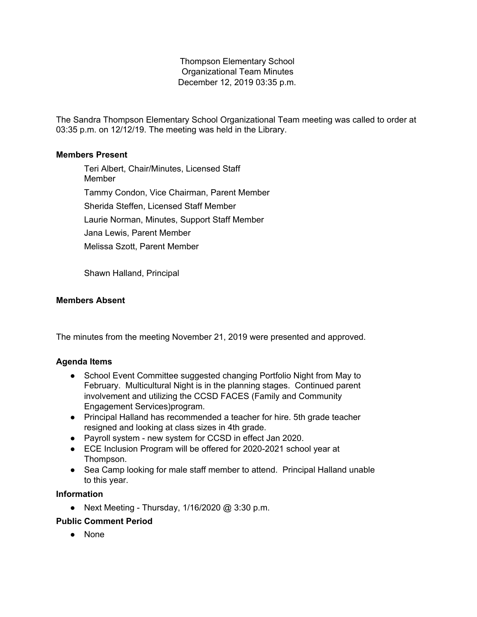Thompson Elementary School Organizational Team Minutes December 12, 2019 03:35 p.m.

The Sandra Thompson Elementary School Organizational Team meeting was called to order at 03:35 p.m. on 12/12/19. The meeting was held in the Library.

## **Members Present**

Teri Albert, Chair/Minutes, Licensed Staff **Member** Tammy Condon, Vice Chairman, Parent Member Sherida Steffen, Licensed Staff Member Laurie Norman, Minutes, Support Staff Member Jana Lewis, Parent Member Melissa Szott, Parent Member

Shawn Halland, Principal

# **Members Absent**

The minutes from the meeting November 21, 2019 were presented and approved.

# **Agenda Items**

- School Event Committee suggested changing Portfolio Night from May to February. Multicultural Night is in the planning stages. Continued parent involvement and utilizing the CCSD FACES (Family and Community Engagement Services)program.
- Principal Halland has recommended a teacher for hire. 5th grade teacher resigned and looking at class sizes in 4th grade.
- Payroll system new system for CCSD in effect Jan 2020.
- ECE Inclusion Program will be offered for 2020-2021 school year at Thompson.
- Sea Camp looking for male staff member to attend. Principal Halland unable to this year.

### **Information**

● Next Meeting - Thursday, 1/16/2020 @ 3:30 p.m.

### **Public Comment Period**

● None